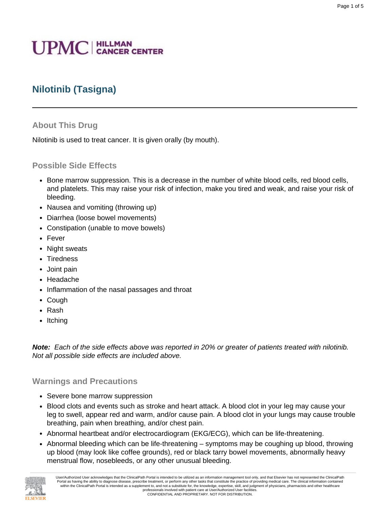# **UPMC** | HILLMAN

# **Nilotinib (Tasigna)**

# **About This Drug**

Nilotinib is used to treat cancer. It is given orally (by mouth).

# **Possible Side Effects**

• Bone marrow suppression. This is a decrease in the number of white blood cells, red blood cells, and platelets. This may raise your risk of infection, make you tired and weak, and raise your risk of bleeding.

Page 1 of 5

- Nausea and vomiting (throwing up)
- Diarrhea (loose bowel movements)
- Constipation (unable to move bowels)
- Fever
- Night sweats
- Tiredness
- Joint pain
- Headache
- Inflammation of the nasal passages and throat
- Cough
- Rash
- Itching

**Note:** Each of the side effects above was reported in 20% or greater of patients treated with nilotinib. Not all possible side effects are included above.

#### **Warnings and Precautions**

- Severe bone marrow suppression
- Blood clots and events such as stroke and heart attack. A blood clot in your leg may cause your leg to swell, appear red and warm, and/or cause pain. A blood clot in your lungs may cause trouble breathing, pain when breathing, and/or chest pain.
- Abnormal heartbeat and/or electrocardiogram (EKG/ECG), which can be life-threatening.
- Abnormal bleeding which can be life-threatening symptoms may be coughing up blood, throwing up blood (may look like coffee grounds), red or black tarry bowel movements, abnormally heavy menstrual flow, nosebleeds, or any other unusual bleeding.

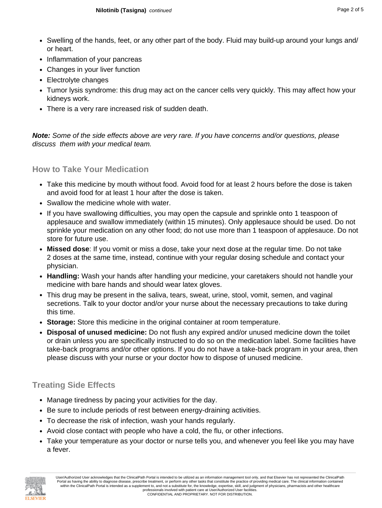- Swelling of the hands, feet, or any other part of the body. Fluid may build-up around your lungs and/ or heart.
- Inflammation of your pancreas
- Changes in your liver function
- Electrolyte changes
- Tumor lysis syndrome: this drug may act on the cancer cells very quickly. This may affect how your kidneys work.
- There is a very rare increased risk of sudden death.

**Note:** Some of the side effects above are very rare. If you have concerns and/or questions, please discuss them with your medical team.

#### **How to Take Your Medication**

- Take this medicine by mouth without food. Avoid food for at least 2 hours before the dose is taken and avoid food for at least 1 hour after the dose is taken.
- Swallow the medicine whole with water.
- If you have swallowing difficulties, you may open the capsule and sprinkle onto 1 teaspoon of applesauce and swallow immediately (within 15 minutes). Only applesauce should be used. Do not sprinkle your medication on any other food; do not use more than 1 teaspoon of applesauce. Do not store for future use.
- **Missed dose**: If you vomit or miss a dose, take your next dose at the regular time. Do not take 2 doses at the same time, instead, continue with your regular dosing schedule and contact your physician.
- **Handling:** Wash your hands after handling your medicine, your caretakers should not handle your medicine with bare hands and should wear latex gloves.
- This drug may be present in the saliva, tears, sweat, urine, stool, vomit, semen, and vaginal secretions. Talk to your doctor and/or your nurse about the necessary precautions to take during this time.
- **Storage:** Store this medicine in the original container at room temperature.
- **Disposal of unused medicine:** Do not flush any expired and/or unused medicine down the toilet or drain unless you are specifically instructed to do so on the medication label. Some facilities have take-back programs and/or other options. If you do not have a take-back program in your area, then please discuss with your nurse or your doctor how to dispose of unused medicine.

# **Treating Side Effects**

- Manage tiredness by pacing your activities for the day.
- Be sure to include periods of rest between energy-draining activities.
- To decrease the risk of infection, wash your hands regularly.
- Avoid close contact with people who have a cold, the flu, or other infections.
- Take your temperature as your doctor or nurse tells you, and whenever you feel like you may have a fever.

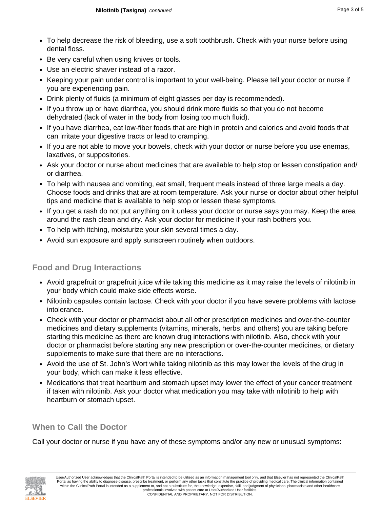- To help decrease the risk of bleeding, use a soft toothbrush. Check with your nurse before using dental floss.
- Be very careful when using knives or tools.
- Use an electric shaver instead of a razor.
- Keeping your pain under control is important to your well-being. Please tell your doctor or nurse if you are experiencing pain.
- Drink plenty of fluids (a minimum of eight glasses per day is recommended).
- If you throw up or have diarrhea, you should drink more fluids so that you do not become dehydrated (lack of water in the body from losing too much fluid).
- If you have diarrhea, eat low-fiber foods that are high in protein and calories and avoid foods that can irritate your digestive tracts or lead to cramping.
- If you are not able to move your bowels, check with your doctor or nurse before you use enemas, laxatives, or suppositories.
- Ask your doctor or nurse about medicines that are available to help stop or lessen constipation and/ or diarrhea.
- To help with nausea and vomiting, eat small, frequent meals instead of three large meals a day. Choose foods and drinks that are at room temperature. Ask your nurse or doctor about other helpful tips and medicine that is available to help stop or lessen these symptoms.
- If you get a rash do not put anything on it unless your doctor or nurse says you may. Keep the area around the rash clean and dry. Ask your doctor for medicine if your rash bothers you.
- To help with itching, moisturize your skin several times a day.
- Avoid sun exposure and apply sunscreen routinely when outdoors.

# **Food and Drug Interactions**

- Avoid grapefruit or grapefruit juice while taking this medicine as it may raise the levels of nilotinib in your body which could make side effects worse.
- Nilotinib capsules contain lactose. Check with your doctor if you have severe problems with lactose intolerance.
- Check with your doctor or pharmacist about all other prescription medicines and over-the-counter medicines and dietary supplements (vitamins, minerals, herbs, and others) you are taking before starting this medicine as there are known drug interactions with nilotinib. Also, check with your doctor or pharmacist before starting any new prescription or over-the-counter medicines, or dietary supplements to make sure that there are no interactions.
- Avoid the use of St. John's Wort while taking nilotinib as this may lower the levels of the drug in your body, which can make it less effective.
- Medications that treat heartburn and stomach upset may lower the effect of your cancer treatment if taken with nilotinib. Ask your doctor what medication you may take with nilotinib to help with heartburn or stomach upset.

# **When to Call the Doctor**

Call your doctor or nurse if you have any of these symptoms and/or any new or unusual symptoms:

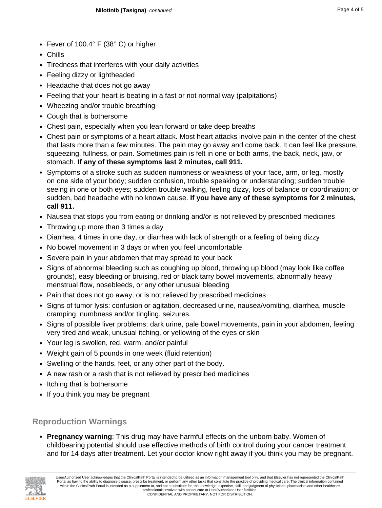- Fever of 100.4° F (38° C) or higher
- Chills
- Tiredness that interferes with your daily activities
- Feeling dizzy or lightheaded
- Headache that does not go away
- Feeling that your heart is beating in a fast or not normal way (palpitations)
- Wheezing and/or trouble breathing
- Cough that is bothersome
- Chest pain, especially when you lean forward or take deep breaths
- Chest pain or symptoms of a heart attack. Most heart attacks involve pain in the center of the chest that lasts more than a few minutes. The pain may go away and come back. It can feel like pressure, squeezing, fullness, or pain. Sometimes pain is felt in one or both arms, the back, neck, jaw, or stomach. **If any of these symptoms last 2 minutes, call 911.**
- Symptoms of a stroke such as sudden numbness or weakness of your face, arm, or leg, mostly on one side of your body; sudden confusion, trouble speaking or understanding; sudden trouble seeing in one or both eyes; sudden trouble walking, feeling dizzy, loss of balance or coordination; or sudden, bad headache with no known cause. **If you have any of these symptoms for 2 minutes, call 911.**
- Nausea that stops you from eating or drinking and/or is not relieved by prescribed medicines
- Throwing up more than 3 times a day
- Diarrhea, 4 times in one day, or diarrhea with lack of strength or a feeling of being dizzy
- No bowel movement in 3 days or when you feel uncomfortable
- Severe pain in your abdomen that may spread to your back
- Signs of abnormal bleeding such as coughing up blood, throwing up blood (may look like coffee grounds), easy bleeding or bruising, red or black tarry bowel movements, abnormally heavy menstrual flow, nosebleeds, or any other unusual bleeding
- Pain that does not go away, or is not relieved by prescribed medicines
- Signs of tumor lysis: confusion or agitation, decreased urine, nausea/vomiting, diarrhea, muscle cramping, numbness and/or tingling, seizures.
- Signs of possible liver problems: dark urine, pale bowel movements, pain in your abdomen, feeling very tired and weak, unusual itching, or yellowing of the eyes or skin
- Your leg is swollen, red, warm, and/or painful
- Weight gain of 5 pounds in one week (fluid retention)
- Swelling of the hands, feet, or any other part of the body.
- A new rash or a rash that is not relieved by prescribed medicines
- Itching that is bothersome
- If you think you may be pregnant

# **Reproduction Warnings**

• **Pregnancy warning**: This drug may have harmful effects on the unborn baby. Women of childbearing potential should use effective methods of birth control during your cancer treatment and for 14 days after treatment. Let your doctor know right away if you think you may be pregnant.